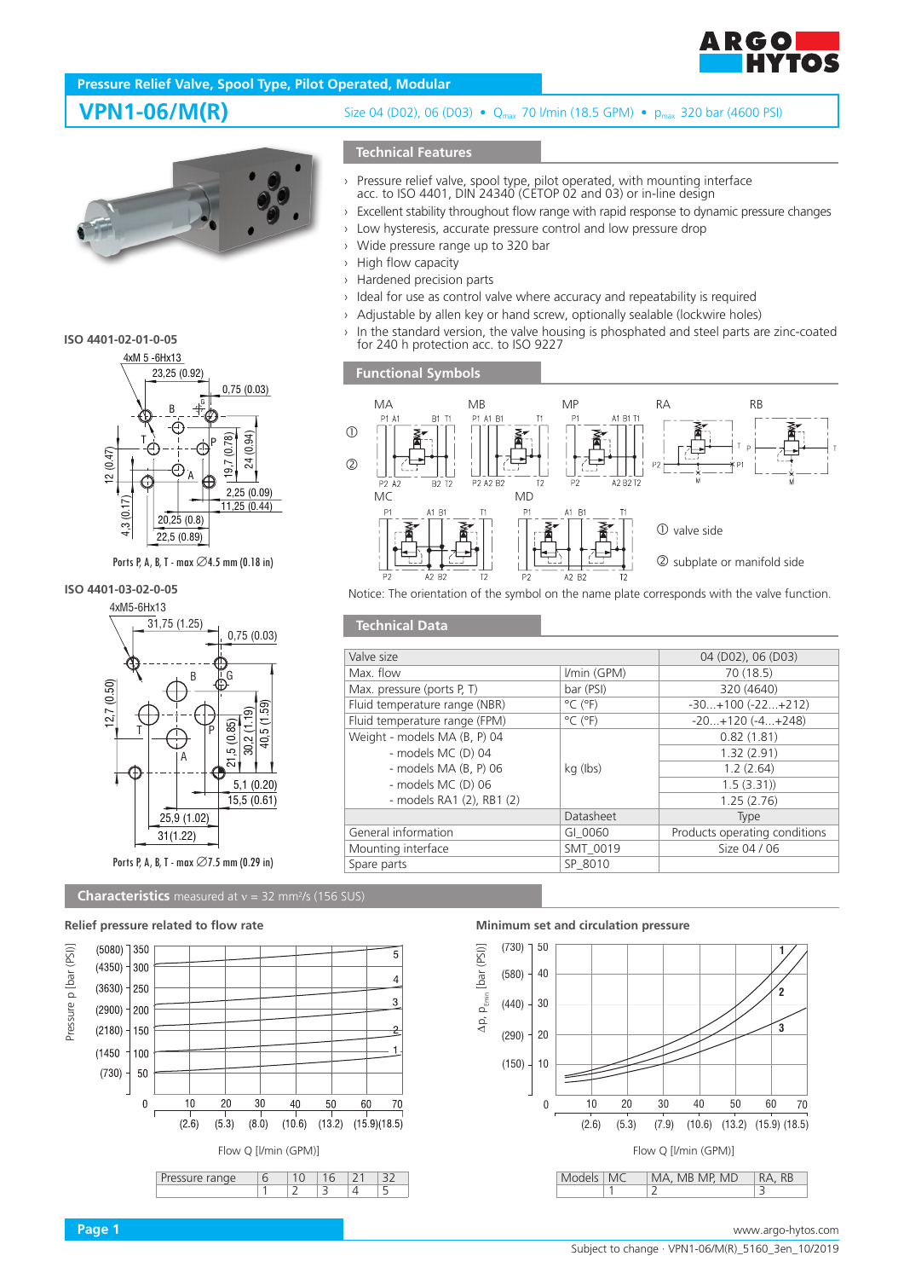

# **Pressure Relief Valve, Spool Type, Pilot Operated, Modular**



### **ISO 4401-02-01-0-05**



Ports P, A, B, T - max  $\emptyset$ 4.5 mm (0.18 in)

# **ISO 4401-03-02-0-05**



# Ports P, A, B, T - max ∅7.5 mm (0.29 in)

**Characteristics** measured at  $v = 32$  mm<sup>2</sup>/s (156 SUS)

### **Relief pressure related to flow rate Minimum set and circulation pressure**



# **VPN1-06/M(R)** Size 04 (D02), 06 (D03) • Q<sub>max</sub> 70 *V*min (18.5 GPM) • p<sub>max</sub> 320 bar (4600 PSI)

## **Technical Features**

- › Pressure relief valve, spool type, pilot operated, with mounting interface acc. to ISO 4401, DIN 24340 (CETOP 02 and 03) or in-line design
- › Excellent stability throughout flow range with rapid response to dynamic pressure changes
- › Low hysteresis, accurate pressure control and low pressure drop
- › Wide pressure range up to 320 bar
- › High flow capacity
- › Hardened precision parts
- › Ideal for use as control valve where accuracy and repeatability is required
- › Adjustable by allen key or hand screw, optionally sealable (lockwire holes)
- In the standard version, the valve housing is phosphated and steel parts are zinc-coated for 240 h protection acc. to ISO 9227

## **Functional Symbols**

**Technical Data**



Notice: The orientation of the symbol on the name plate corresponds with the valve function.

| Valve size                    |                              | 04 (D02), 06 (D03)            |
|-------------------------------|------------------------------|-------------------------------|
| Max. flow                     | I/min (GPM)                  | 70 (18.5)                     |
| Max. pressure (ports P, T)    | bar (PSI)                    | 320 (4640)                    |
| Fluid temperature range (NBR) | $^{\circ}$ C ( $^{\circ}$ F) | $-30+100$ $(-22+212)$         |
| Fluid temperature range (FPM) | $^{\circ}$ C ( $^{\circ}$ F) | $-20+120(-4+248)$             |
| Weight - models MA (B, P) 04  |                              | 0.82(1.81)                    |
| - models MC (D) 04            |                              | 1.32(2.91)                    |
| - models $MA$ (B, P) 06       | kg (lbs)                     | 1.2(2.64)                     |
| - models MC (D) 06            |                              | 1.5(3.31)                     |
| - models RA1 (2), RB1 (2)     |                              | 1.25(2.76)                    |
|                               | Datasheet                    | Type                          |
| General information           | GI 0060                      | Products operating conditions |
| Mounting interface            | SMT 0019                     | Size 04 / 06                  |
| Spare parts                   | SP 8010                      |                               |
|                               |                              |                               |